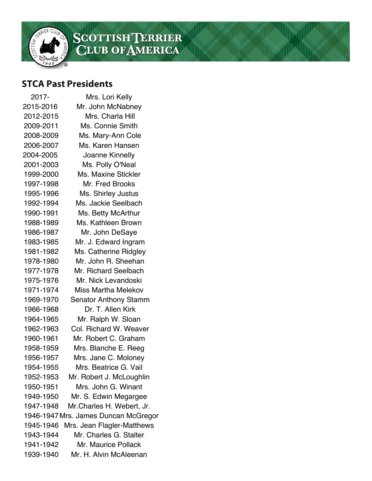

## SCOTTISHTERRIER<br>CLUB OF AMERICA

## **STCA Past Presidents**

| 2017-     | Mrs. Lori Kelly                      |
|-----------|--------------------------------------|
| 2015-2016 | Mr. John McNabney                    |
| 2012-2015 | Mrs. Charla Hill                     |
| 2009-2011 | Ms. Connie Smith                     |
| 2008-2009 | Ms. Mary-Ann Cole                    |
| 2006-2007 | Ms. Karen Hansen                     |
| 2004-2005 | Joanne Kinnelly                      |
| 2001-2003 | Ms. Polly O'Neal                     |
| 1999-2000 | <b>Ms. Maxine Stickler</b>           |
| 1997-1998 | Mr. Fred Brooks                      |
| 1995-1996 | Ms. Shirley Justus                   |
| 1992-1994 | Ms. Jackie Seelbach                  |
| 1990-1991 | Ms. Betty McArthur                   |
| 1988-1989 | Ms. Kathleen Brown                   |
| 1986-1987 | Mr. John DeSaye                      |
| 1983-1985 | Mr. J. Edward Ingram                 |
| 1981-1982 | Ms. Catherine Ridgley                |
| 1978-1980 | Mr. John R. Sheehan                  |
| 1977-1978 | Mr. Richard Seelbach                 |
| 1975-1976 | Mr. Nick Levandoski                  |
| 1971-1974 | <b>Miss Martha Melekov</b>           |
| 1969-1970 | <b>Senator Anthony Stamm</b>         |
| 1966-1968 | Dr. T. Allen Kirk                    |
| 1964-1965 | Mr. Ralph W. Sloan                   |
| 1962-1963 | Col. Richard W. Weaver               |
| 1960-1961 | Mr. Robert C. Graham                 |
| 1958-1959 | Mrs. Blanche E. Reeg                 |
| 1956-1957 | Mrs. Jane C. Moloney                 |
| 1954-1955 | Mrs. Beatrice G. Vail                |
| 1952-1953 | Mr. Robert J. McLoughlin             |
| 1950-1951 | Mrs. John G. Winant                  |
| 1949-1950 | Mr. S. Edwin Megargee                |
| 1947-1948 | Mr. Charles H. Webert, Jr.           |
|           | 1946-1947 Mrs. James Duncan McGregor |
| 1945-1946 | Mrs. Jean Flagler-Matthews           |
| 1943-1944 | Mr. Charles G. Stalter               |
| 1941-1942 | Mr. Maurice Pollack                  |
| 1939-1940 | Mr. H. Alvin McAleenan               |
|           |                                      |